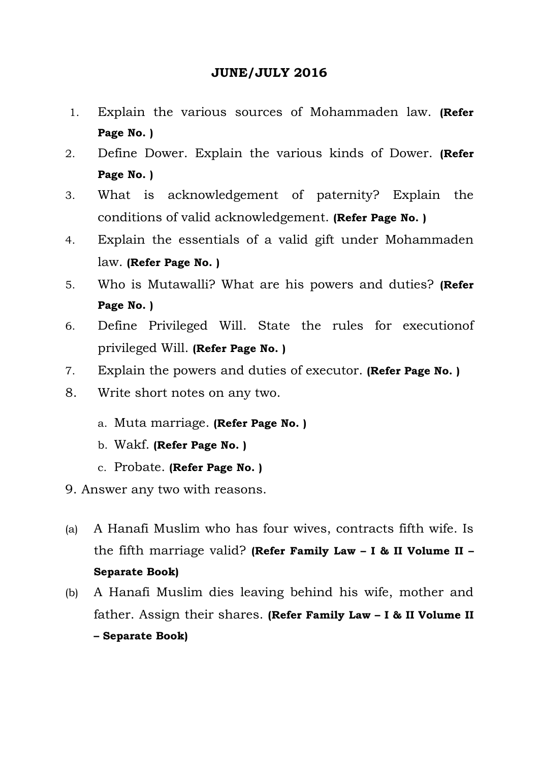# **JUNE/JULY 2016**

- 1. Explain the various sources of Mohammaden law. **(Refer Page No. )**
- 2. Define Dower. Explain the various kinds of Dower. **(Refer Page No. )**
- 3. What is acknowledgement of paternity? Explain the conditions of valid acknowledgement. **(Refer Page No. )**
- 4. Explain the essentials of a valid gift under Mohammaden law. **(Refer Page No. )**
- 5. Who is Mutawalli? What are his powers and duties? **(Refer Page No. )**
- 6. Define Privileged Will. State the rules for executionof privileged Will. **(Refer Page No. )**
- 7. Explain the powers and duties of executor. **(Refer Page No. )**
- 8. Write short notes on any two.
	- a. Muta marriage. **(Refer Page No. )**
	- b. Wakf. **(Refer Page No. )**
	- c. Probate. **(Refer Page No. )**
- 9. Answer any two with reasons.
- (a) A Hanafi Muslim who has four wives, contracts fifth wife. Is the fifth marriage valid? **(Refer Family Law – I & II Volume II – Separate Book)**
- (b) A Hanafi Muslim dies leaving behind his wife, mother and father. Assign their shares. **(Refer Family Law – I & II Volume II – Separate Book)**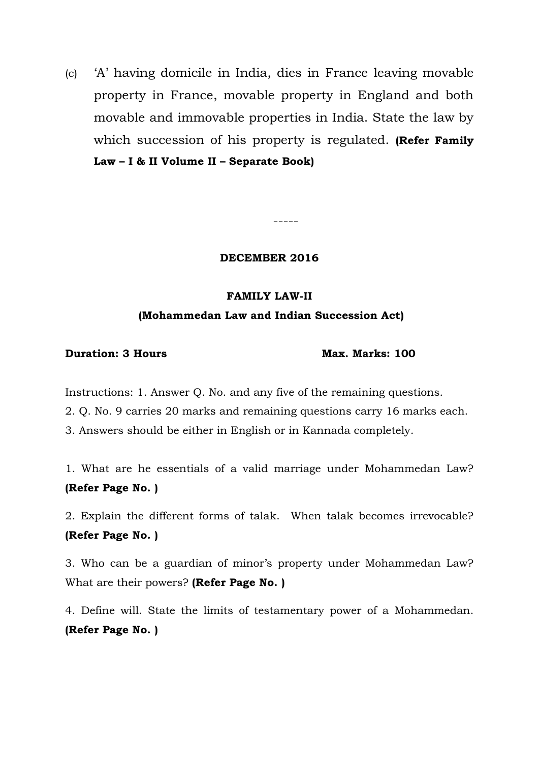(c) 'A' having domicile in India, dies in France leaving movable property in France, movable property in England and both movable and immovable properties in India. State the law by which succession of his property is regulated. **(Refer Family Law – I & II Volume II – Separate Book)**

**DECEMBER 2016**

-----

#### **FAMILY LAW-II**

#### **(Mohammedan Law and Indian Succession Act)**

### **Duration: 3 Hours Max. Marks: 100**

Instructions: 1. Answer Q. No. and any five of the remaining questions.

2. Q. No. 9 carries 20 marks and remaining questions carry 16 marks each.

3. Answers should be either in English or in Kannada completely.

1. What are he essentials of a valid marriage under Mohammedan Law? **(Refer Page No. )**

2. Explain the different forms of talak. When talak becomes irrevocable? **(Refer Page No. )**

3. Who can be a guardian of minor's property under Mohammedan Law? What are their powers? **(Refer Page No. )**

4. Define will. State the limits of testamentary power of a Mohammedan. **(Refer Page No. )**